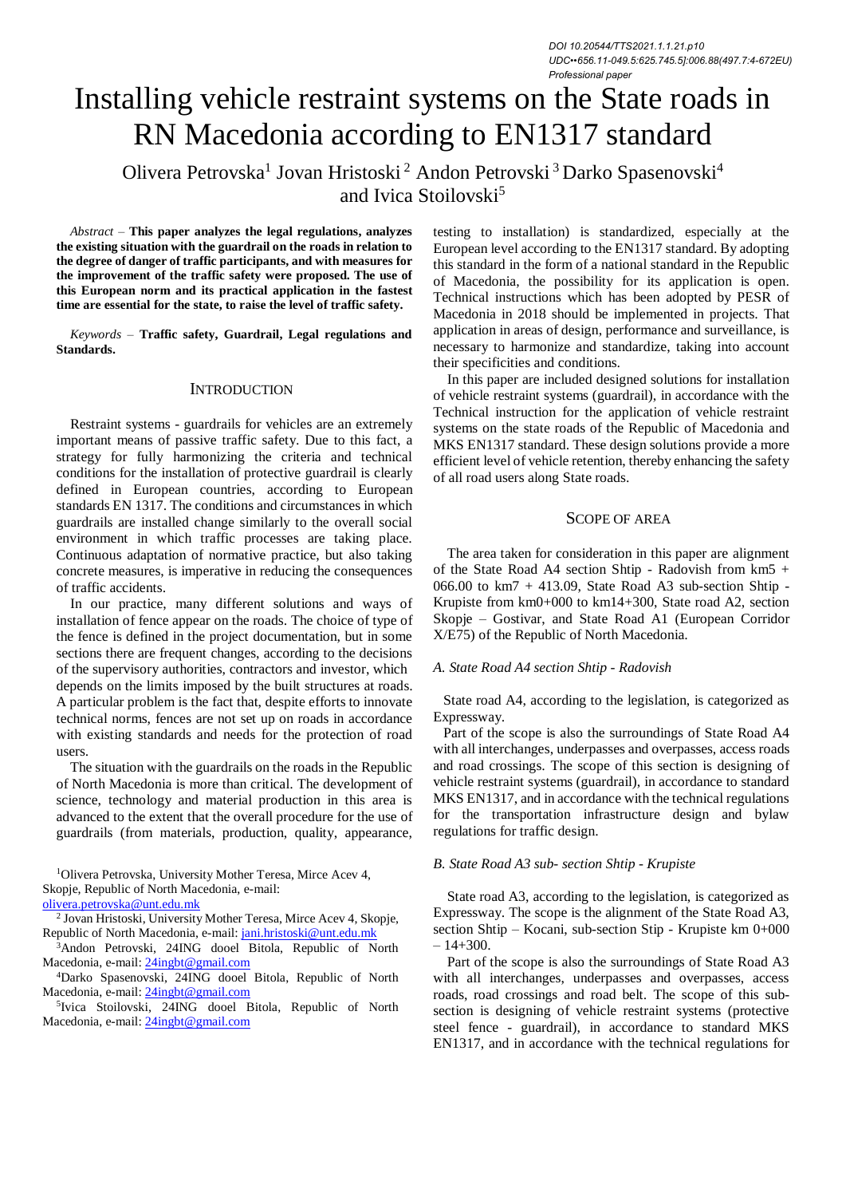*DOI 10.20544/TTS2021.1.1.21.p10 UDC••656.11-049.5:625.745.5]:006.88(497.7:4-672EU) Professional paper*

# Installing vehicle restraint systems on the State roads in RN Macedonia according to EN1317 standard

Olivera Petrovska<sup>1</sup> Jovan Hristoski<sup>2</sup> Andon Petrovski<sup>3</sup> Darko Spasenovski<sup>4</sup> and Ivica Stoilovski<sup>5</sup>

*Abstract –* **This paper analyzes the legal regulations, analyzes the existing situation with the guardrail on the roads in relation to the degree of danger of traffic participants, and with measures for the improvement of the traffic safety were proposed. The use of this European norm and its practical application in the fastest time are essential for the state, to raise the level of traffic safety.**

*Keywords –* **Traffic safety, Guardrail, Legal regulations and Standards.**

# **INTRODUCTION**

Restraint systems - guardrails for vehicles are an extremely important means of passive traffic safety. Due to this fact, a strategy for fully harmonizing the criteria and technical conditions for the installation of protective guardrail is clearly defined in European countries, according to European standards EN 1317. The conditions and circumstances in which guardrails are installed change similarly to the overall social environment in which traffic processes are taking place. Continuous adaptation of normative practice, but also taking concrete measures, is imperative in reducing the consequences of traffic accidents.

In our practice, many different solutions and ways of installation of fence appear on the roads. The choice of type of the fence is defined in the project documentation, but in some sections there are frequent changes, according to the decisions of the supervisory authorities, contractors and investor, which depends on the limits imposed by the built structures at roads. A particular problem is the fact that, despite efforts to innovate technical norms, fences are not set up on roads in accordance with existing standards and needs for the protection of road users.

The situation with the guardrails on the roads in the Republic of North Macedonia is more than critical. The development of science, technology and material production in this area is advanced to the extent that the overall procedure for the use of guardrails (from materials, production, quality, appearance,

<sup>1</sup>Olivera Petrovska, University Mother Teresa, Mirce Acev 4, Skopje, Republic of North Macedonia, e-mail:

olivera.petrovska@unt.edu.mk

2 Jovan Hristoski, University Mother Teresa, Mirce Acev 4, Skopje, Republic of North Macedonia, e-mail: jani.hristoski@unt.edu.mk

<sup>3</sup>Andon Petrovski, 24ING dooel Bitola, Republic of North Macedonia, e-mail: [24ingbt@gmail.com](mailto:24ingbt@gmail.com)

<sup>4</sup>Darko Spasenovski, 24ING dooel Bitola, Republic of North Macedonia, e-mail: [24ingbt@gmail.com](mailto:24ingbt@gmail.com)

5 Ivica Stoilovski, 24ING dooel Bitola, Republic of North Macedonia, e-mail: [24ingbt@gmail.com](mailto:24ingbt@gmail.com)

testing to installation) is standardized, especially at the European level according to the EN1317 standard. By adopting this standard in the form of a national standard in the Republic of Macedonia, the possibility for its application is open. Technical instructions which has been adopted by PESR of Macedonia in 2018 should be implemented in projects. Тhat application in areas of design, performance and surveillance, is necessary to harmonize and standardize, taking into account their specificities and conditions.

In this paper are included designed solutions for installation of vehicle restraint systems (guardrail), in accordance with the Technical instruction for the application of vehicle restraint systems on the state roads of the Republic of Macedonia and MKS EN1317 standard. These design solutions provide a more efficient level of vehicle retention, thereby enhancing the safety of all road users along State roads.

# SCOPE OF AREA

The area taken for consideration in this paper are alignment of the State Road A4 section Shtip - Radovish from km5 + 066.00 to km7 + 413.09, State Road A3 sub-section Shtip - Krupiste from km0+000 to km14+300, State road A2, section Skopje – Gostivar, and State Road A1 (European Corridor X/E75) of the Republic of North Macedonia.

#### *A. State Road A4 section Shtip - Radovish*

State road A4, according to the legislation, is categorized as Expressway.

Part of the scope is also the surroundings of State Road A4 with all interchanges, underpasses and overpasses, access roads and road crossings. The scope of this section is designing of vehicle restraint systems (guardrail), in accordance to standard MKS EN1317, and in accordance with the technical regulations for the transportation infrastructure design and bylaw regulations for traffic design.

#### *B. State Road A3 sub- section Shtip - Krupiste*

State road A3, according to the legislation, is categorized as Expressway. The scope is the alignment of the State Road A3, section Shtip – Kocani, sub-section Stip - Krupiste km 0+000  $-14+300.$ 

Part of the scope is also the surroundings of State Road A3 with all interchanges, underpasses and overpasses, access roads, road crossings and road belt. The scope of this subsection is designing of vehicle restraint systems (protective steel fence - guardrail), in accordance to standard MKS EN1317, and in accordance with the technical regulations for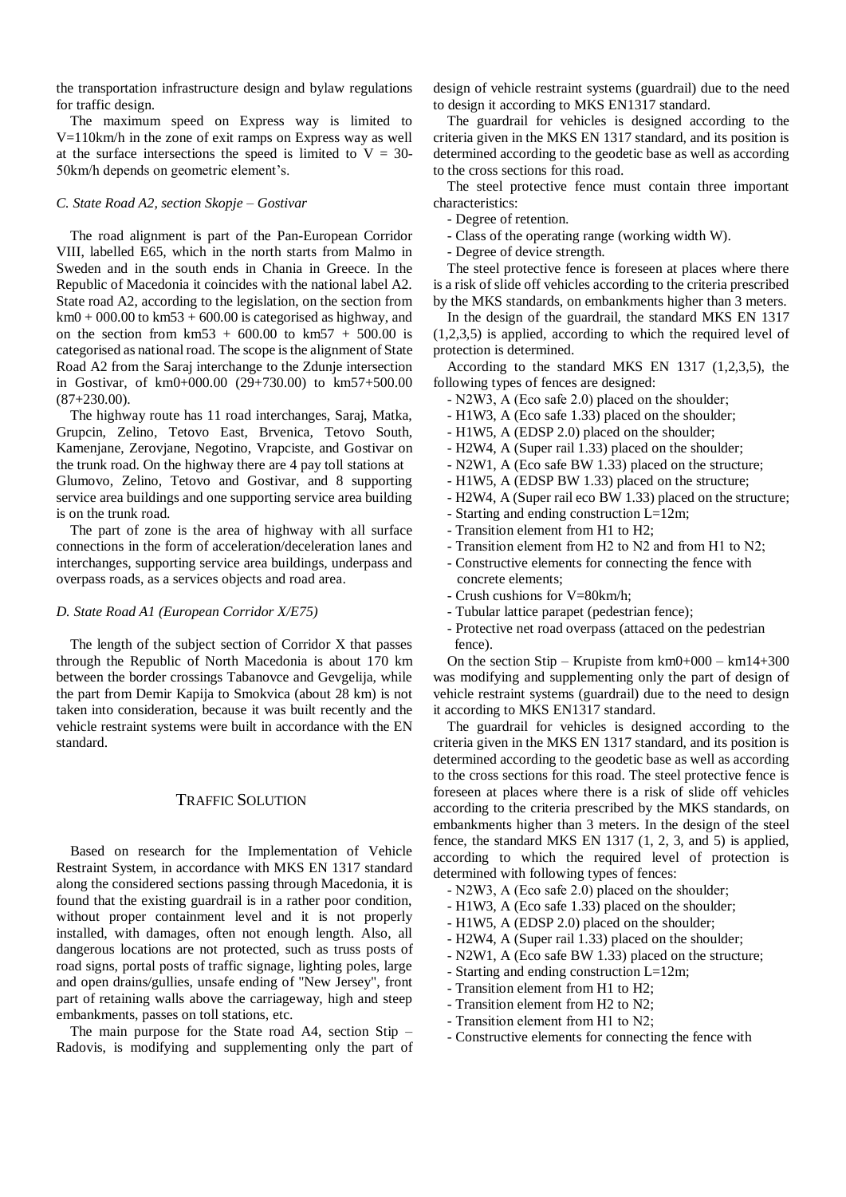the transportation infrastructure design and bylaw regulations for traffic design.

The maximum speed on Express way is limited to V=110km/h in the zone of exit ramps on Express way as well at the surface intersections the speed is limited to  $V = 30$ -50km/h depends on geometric element's.

#### *C. State Road A2, section Skopje – Gostivar*

The road alignment is part of the Pan-European Corridor VIII, labelled E65, which in the north starts from Malmo in Sweden and in the south ends in Chania in Greece. In the Republic of Macedonia it coincides with the national label A2. State road A2, according to the legislation, on the section from  $km0 + 000.00$  to  $km53 + 600.00$  is categorised as highway, and on the section from  $km53 + 600.00$  to  $km57 + 500.00$  is categorised as national road. The scope is the alignment of State Road A2 from the Saraj interchange to the Zdunje intersection in Gostivar, of km0+000.00 (29+730.00) to km57+500.00  $(87+230.00)$ .

The highway route has 11 road interchanges, Saraj, Matka, Grupcin, Zelino, Tetovo East, Brvenica, Tetovo South, Kamenjane, Zerovjane, Negotino, Vrapciste, and Gostivar on the trunk road. On the highway there are 4 pay toll stations at Glumovo, Zelino, Tetovo and Gostivar, and 8 supporting service area buildings and one supporting service area building is on the trunk road.

The part of zone is the area of highway with all surface connections in the form of acceleration/deceleration lanes and interchanges, supporting service area buildings, underpass and overpass roads, as a services objects and road area.

#### *D. State Road A1 (European Corridor X/E75)*

The length of the subject section of Corridor X that passes through the Republic of North Macedonia is about 170 km between the border crossings Tabanovce and Gevgelija, while the part from Demir Kapija to Smokvica (about 28 km) is not taken into consideration, because it was built recently and the vehicle restraint systems were built in accordance with the EN standard.

## TRAFFIC SOLUTION

Based on research for the Implementation of Vehicle Restraint System, in accordance with MKS EN 1317 standard along the considered sections passing through Macedonia, it is found that the existing guardrail is in a rather poor condition, without proper containment level and it is not properly installed, with damages, often not enough length. Also, all dangerous locations are not protected, such as truss posts of road signs, portal posts of traffic signage, lighting poles, large and open drains/gullies, unsafe ending of "New Jersey", front part of retaining walls above the carriageway, high and steep embankments, passes on toll stations, etc.

The main purpose for the State road A4, section Stip  $-$ Radovis, is modifying and supplementing only the part of design of vehicle restraint systems (guardrail) due to the need to design it according to MKS EN1317 standard.

The guardrail for vehicles is designed according to the criteria given in the MKS EN 1317 standard, and its position is determined according to the geodetic base as well as according to the cross sections for this road.

The steel protective fence must contain three important characteristics:

- Degree of retention.
- Class of the operating range (working width W).
- Degree of device strength.

The steel protective fence is foreseen at places where there is a risk of slide off vehicles according to the criteria prescribed by the MKS standards, on embankments higher than 3 meters.

In the design of the guardrail, the standard MKS EN 1317 (1,2,3,5) is applied, according to which the required level of protection is determined.

According to the standard MKS EN 1317 (1,2,3,5), the following types of fences are designed:

- N2W3, А (Eco safe 2.0) placed on the shoulder;
- H1W3, A (Eco safe 1.33) placed on the shoulder;
- H1W5, A (EDSP 2.0) placed on the shoulder;
- H2W4, A (Super rail 1.33) placed on the shoulder;
- N2W1, A (Eco safe BW 1.33) placed on the structure;
- H1W5, A (EDSP BW 1.33) placed on the structure;
- H2W4, A (Super rail eco BW 1.33) placed on the structure;
- Starting and ending construction L=12m;
- Transition element from H1 to H2;
- Transition element from H2 to N2 and from Н1 to N2;
- Constructive elements for connecting the fence with concrete elements;
- Crush cushions for V=80km/h;
- Tubular lattice parapet (pedestrian fence);
- Protective net road overpass (attaced on the pedestrian fence).

On the section Stip – Krupiste from  $km0+000 - km14+300$ was modifying and supplementing only the part of design of vehicle restraint systems (guardrail) due to the need to design it according to MKS EN1317 standard.

The guardrail for vehicles is designed according to the criteria given in the MKS EN 1317 standard, and its position is determined according to the geodetic base as well as according to the cross sections for this road. The steel protective fence is foreseen at places where there is a risk of slide off vehicles according to the criteria prescribed by the MKS standards, on embankments higher than 3 meters. In the design of the steel fence, the standard MKS EN 1317 (1, 2, 3, and 5) is applied, according to which the required level of protection is determined with following types of fences:

- N2W3, А (Eco safe 2.0) placed on the shoulder;
- H1W3, A (Eco safe 1.33) placed on the shoulder;
- H1W5, A (EDSP 2.0) placed on the shoulder;
- H2W4, A (Super rail 1.33) placed on the shoulder;
- N2W1, A (Eco safe BW 1.33) placed on the structure;
- Starting and ending construction L=12m;
- Transition element from H1 to H2;
- Transition element from H2 to N2;
- Transition element from Н1 to N2;
- Constructive elements for connecting the fence with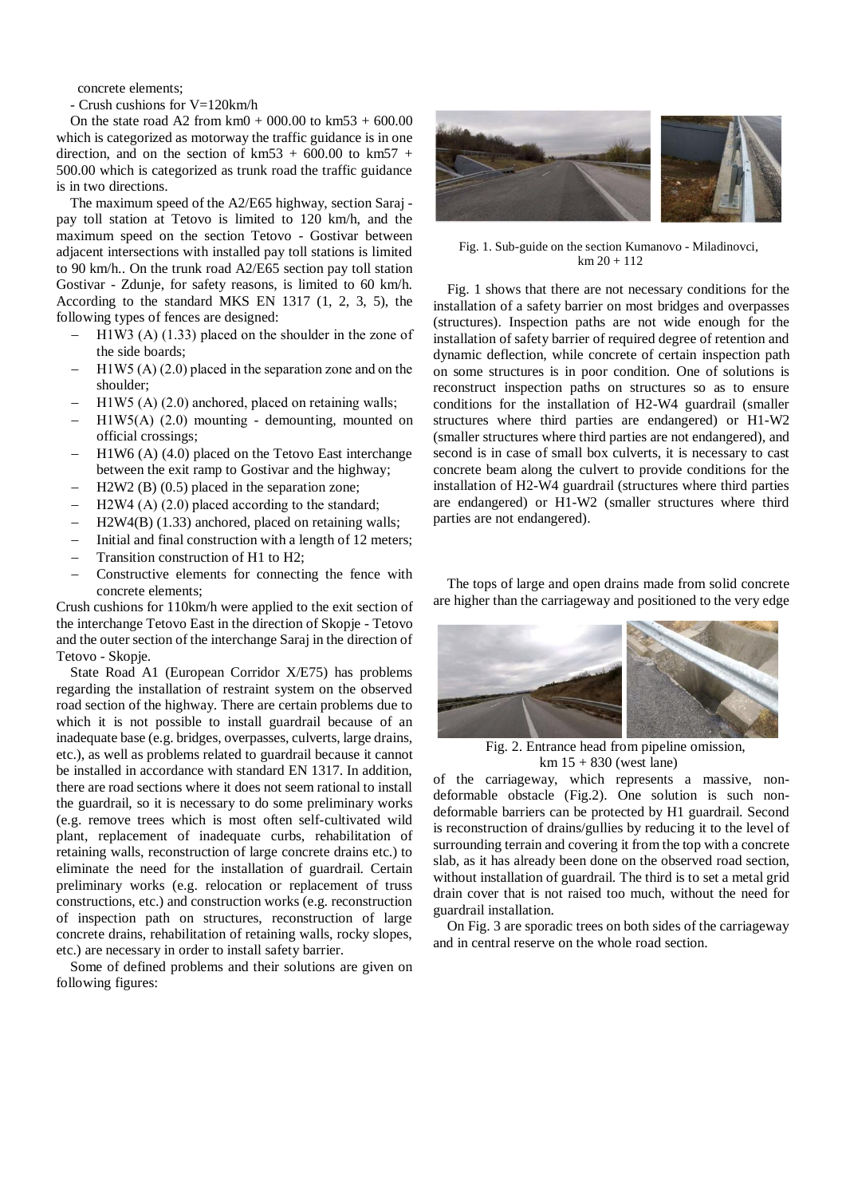concrete elements;

- Crush cushions for V=120km/h

On the state road A2 from  $km0 + 000.00$  to  $km53 + 600.00$ which is categorized as motorway the traffic guidance is in one direction, and on the section of  $km53 + 600.00$  to  $km57 +$ 500.00 which is categorized as trunk road the traffic guidance is in two directions.

The maximum speed of the A2/E65 highway, section Saraj pay toll station at Tetovo is limited to 120 km/h, and the maximum speed on the section Tetovo - Gostivar between adjacent intersections with installed pay toll stations is limited to 90 km/h.. On the trunk road A2/E65 section pay toll station Gostivar - Zdunje, for safety reasons, is limited to 60 km/h. According to the standard MKS EN 1317 (1, 2, 3, 5), the following types of fences are designed:

- H<sub>1</sub>W<sub>3</sub> (A) (1.33) placed on the shoulder in the zone of the side boards;
- H1W5 (A) (2.0) placed in the separation zone and on the shoulder;
- H1W5 (A) (2.0) anchored, placed on retaining walls;
- H1W5(A) (2.0) mounting demounting, mounted on official crossings;
- H1W6 (A) (4.0) placed on the Tetovo East interchange between the exit ramp to Gostivar and the highway;
- H2W2 (B) (0.5) placed in the separation zone;
- H2W4 (A) (2.0) placed according to the standard;
- H2W4(B) (1.33) anchored, placed on retaining walls;
- Initial and final construction with a length of 12 meters;
- Transition construction of H1 to H2;
- Constructive elements for connecting the fence with concrete elements;

Crush cushions for 110km/h were applied to the exit section of the interchange Tetovo East in the direction of Skopje - Tetovo and the outer section of the interchange Saraj in the direction of Tetovo - Skopje.

State Road A1 (European Corridor X/E75) has problems regarding the installation of restraint system on the observed road section of the highway. There are certain problems due to which it is not possible to install guardrail because of an inadequate base (e.g. bridges, overpasses, culverts, large drains, etc.), as well as problems related to guardrail because it cannot be installed in accordance with standard EN 1317. In addition, there are road sections where it does not seem rational to install the guardrail, so it is necessary to do some preliminary works (e.g. remove trees which is most often self-cultivated wild plant, replacement of inadequate curbs, rehabilitation of retaining walls, reconstruction of large concrete drains etc.) to eliminate the need for the installation of guardrail. Certain preliminary works (e.g. relocation or replacement of truss constructions, etc.) and construction works (e.g. reconstruction of inspection path on structures, reconstruction of large concrete drains, rehabilitation of retaining walls, rocky slopes, etc.) are necessary in order to install safety barrier.

Some of defined problems and their solutions are given on following figures:



Fig. 1. Sub-guide on the section Kumanovo - Miladinovci, km 20 + 112

Fig. 1 shows that there are not necessary conditions for the installation of a safety barrier on most bridges and overpasses (structures). Inspection paths are not wide enough for the installation of safety barrier of required degree of retention and dynamic deflection, while concrete of certain inspection path on some structures is in poor condition. One of solutions is reconstruct inspection paths on structures so as to ensure conditions for the installation of H2-W4 guardrail (smaller structures where third parties are endangered) or H1-W2 (smaller structures where third parties are not endangered), and second is in case of small box culverts, it is necessary to cast concrete beam along the culvert to provide conditions for the installation of H2-W4 guardrail (structures where third parties are endangered) or H1-W2 (smaller structures where third parties are not endangered).

The tops of large and open drains made from solid concrete are higher than the carriageway and positioned to the very edge



Fig. 2. Entrance head from pipeline omission, km 15 + 830 (west lane)

of the carriageway, which represents a massive, nondeformable obstacle (Fig.2). One solution is such nondeformable barriers can be protected by H1 guardrail. Second is reconstruction of drains/gullies by reducing it to the level of surrounding terrain and covering it from the top with a concrete slab, as it has already been done on the observed road section, without installation of guardrail. The third is to set a metal grid drain cover that is not raised too much, without the need for guardrail installation.

On Fig. 3 are sporadic trees on both sides of the carriageway and in central reserve on the whole road section.